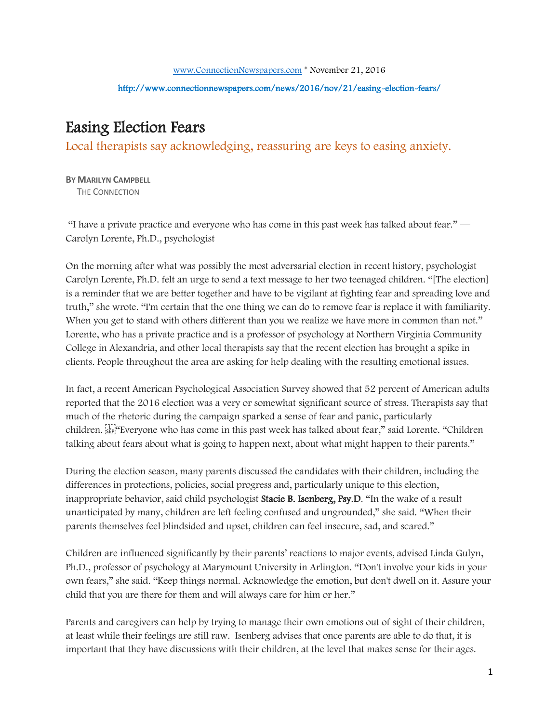## http://www.connectionnewspapers.com/news/2016/nov/21/easing-election-fears/

## Easing Election Fears

Local therapists say acknowledging, reassuring are keys to easing anxiety.

**BY MARILYN CAMPBELL**  THE CONNECTION

"I have a private practice and everyone who has come in this past week has talked about fear." — Carolyn Lorente, Ph.D., psychologist

On the morning after what was possibly the most adversarial election in recent history, psychologist Carolyn Lorente, Ph.D. felt an urge to send a text message to her two teenaged children. "[The election] is a reminder that we are better together and have to be vigilant at fighting fear and spreading love and truth," she wrote. "I'm certain that the one thing we can do to remove fear is replace it with familiarity. When you get to stand with others different than you we realize we have more in common than not." Lorente, who has a private practice and is a professor of psychology at Northern Virginia Community College in Alexandria, and other local therapists say that the recent election has brought a spike in clients. People throughout the area are asking for help dealing with the resulting emotional issues.

In fact, a recent American Psychological Association Survey showed that 52 percent of American adults reported that the 2016 election was a very or somewhat significant source of stress. Therapists say that much of the rhetoric during the campaign sparked a sense of fear and panic, particularly children. "Everyone who has come in this past week has talked about fear," said Lorente. "Children talking about fears about what is going to happen next, about what might happen to their parents."

During the election season, many parents discussed the candidates with their children, including the differences in protections, policies, social progress and, particularly unique to this election, inappropriate behavior, said child psychologist Stacie B. Isenberg, Psy.D. "In the wake of a result unanticipated by many, children are left feeling confused and ungrounded," she said. "When their parents themselves feel blindsided and upset, children can feel insecure, sad, and scared."

Children are influenced significantly by their parents' reactions to major events, advised Linda Gulyn, Ph.D., professor of psychology at Marymount University in Arlington. "Don't involve your kids in your own fears," she said. "Keep things normal. Acknowledge the emotion, but don't dwell on it. Assure your child that you are there for them and will always care for him or her."

Parents and caregivers can help by trying to manage their own emotions out of sight of their children, at least while their feelings are still raw. Isenberg advises that once parents are able to do that, it is important that they have discussions with their children, at the level that makes sense for their ages.